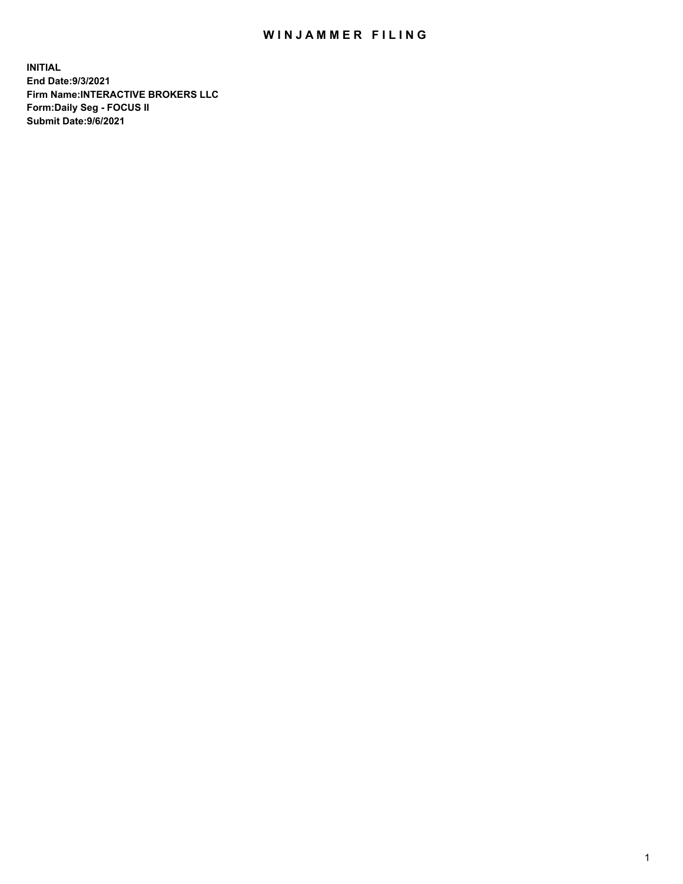## WIN JAMMER FILING

**INITIAL End Date:9/3/2021 Firm Name:INTERACTIVE BROKERS LLC Form:Daily Seg - FOCUS II Submit Date:9/6/2021**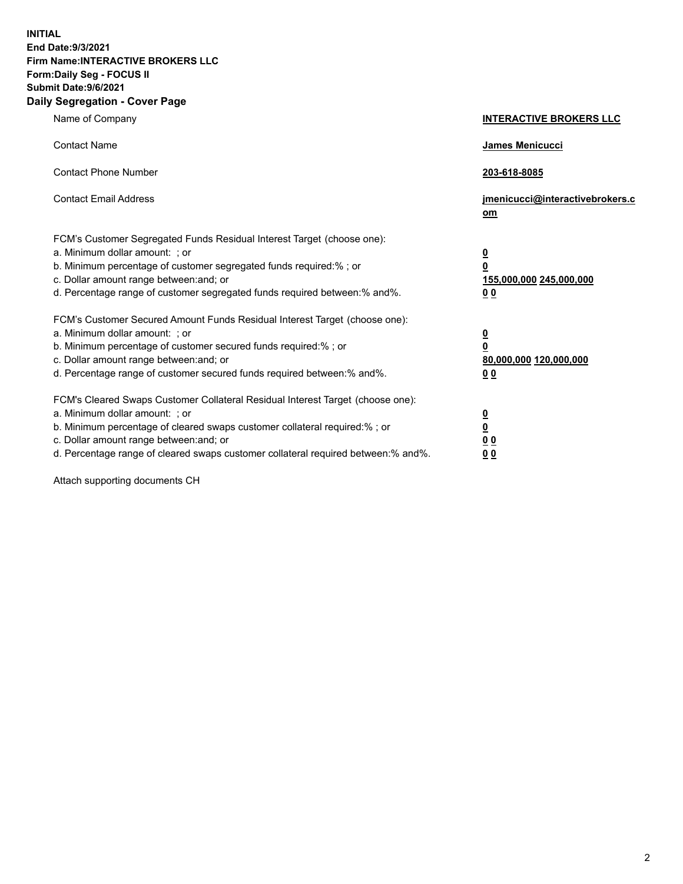**INITIAL End Date:9/3/2021 Firm Name:INTERACTIVE BROKERS LLC Form:Daily Seg - FOCUS II Submit Date:9/6/2021 Daily Segregation - Cover Page**

| Name of Company                                                                                                                                                                                                                                                                                                                | <b>INTERACTIVE BROKERS LLC</b>                                                                  |
|--------------------------------------------------------------------------------------------------------------------------------------------------------------------------------------------------------------------------------------------------------------------------------------------------------------------------------|-------------------------------------------------------------------------------------------------|
| <b>Contact Name</b>                                                                                                                                                                                                                                                                                                            | <b>James Menicucci</b>                                                                          |
| <b>Contact Phone Number</b>                                                                                                                                                                                                                                                                                                    | 203-618-8085                                                                                    |
| <b>Contact Email Address</b>                                                                                                                                                                                                                                                                                                   | jmenicucci@interactivebrokers.c<br>om                                                           |
| FCM's Customer Segregated Funds Residual Interest Target (choose one):<br>a. Minimum dollar amount: ; or<br>b. Minimum percentage of customer segregated funds required:%; or<br>c. Dollar amount range between: and; or<br>d. Percentage range of customer segregated funds required between:% and%.                          | $\overline{\mathbf{0}}$<br>$\overline{\mathbf{0}}$<br>155,000,000 245,000,000<br>0 <sub>0</sub> |
| FCM's Customer Secured Amount Funds Residual Interest Target (choose one):<br>a. Minimum dollar amount: ; or<br>b. Minimum percentage of customer secured funds required:%; or<br>c. Dollar amount range between: and; or<br>d. Percentage range of customer secured funds required between:% and%.                            | $\overline{\mathbf{0}}$<br>$\overline{\mathbf{0}}$<br>80,000,000 120,000,000<br>0 <sub>0</sub>  |
| FCM's Cleared Swaps Customer Collateral Residual Interest Target (choose one):<br>a. Minimum dollar amount: ; or<br>b. Minimum percentage of cleared swaps customer collateral required:% ; or<br>c. Dollar amount range between: and; or<br>d. Percentage range of cleared swaps customer collateral required between:% and%. | $\overline{\mathbf{0}}$<br>$\overline{\mathbf{0}}$<br>0 <sub>0</sub><br>0 <sub>0</sub>          |

Attach supporting documents CH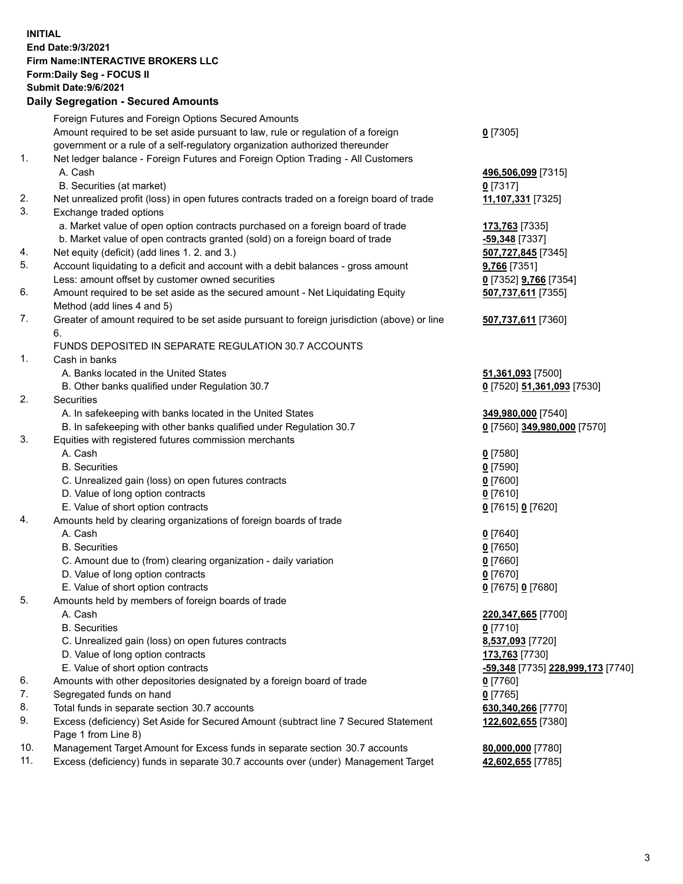## **INITIAL End Date:9/3/2021 Firm Name:INTERACTIVE BROKERS LLC Form:Daily Seg - FOCUS II Submit Date:9/6/2021 Daily Segregation - Secured Amounts**

|     | Daily Jegiegation - Jeculed Aniounts                                                        |                                                |
|-----|---------------------------------------------------------------------------------------------|------------------------------------------------|
|     | Foreign Futures and Foreign Options Secured Amounts                                         |                                                |
|     | Amount required to be set aside pursuant to law, rule or regulation of a foreign            | $0$ [7305]                                     |
|     | government or a rule of a self-regulatory organization authorized thereunder                |                                                |
| 1.  | Net ledger balance - Foreign Futures and Foreign Option Trading - All Customers             |                                                |
|     | A. Cash                                                                                     | 496,506,099 [7315]                             |
|     | B. Securities (at market)                                                                   | $0$ [7317]                                     |
| 2.  | Net unrealized profit (loss) in open futures contracts traded on a foreign board of trade   | 11,107,331 [7325]                              |
| 3.  | Exchange traded options                                                                     |                                                |
|     | a. Market value of open option contracts purchased on a foreign board of trade              | 173,763 [7335]                                 |
|     | b. Market value of open contracts granted (sold) on a foreign board of trade                | -59,348 [7337]                                 |
| 4.  | Net equity (deficit) (add lines 1. 2. and 3.)                                               | 507,727,845 [7345]                             |
| 5.  | Account liquidating to a deficit and account with a debit balances - gross amount           | 9,766 [7351]                                   |
|     | Less: amount offset by customer owned securities                                            | 0 [7352] <b>9,766</b> [7354]                   |
| 6.  | Amount required to be set aside as the secured amount - Net Liquidating Equity              | 507,737,611 [7355]                             |
|     | Method (add lines 4 and 5)                                                                  |                                                |
| 7.  | Greater of amount required to be set aside pursuant to foreign jurisdiction (above) or line | 507,737,611 [7360]                             |
|     | 6.                                                                                          |                                                |
|     | FUNDS DEPOSITED IN SEPARATE REGULATION 30.7 ACCOUNTS                                        |                                                |
| 1.  | Cash in banks                                                                               |                                                |
|     | A. Banks located in the United States                                                       | 51,361,093 [7500]                              |
|     | B. Other banks qualified under Regulation 30.7                                              | 0 [7520] 51,361,093 [7530]                     |
| 2.  | Securities                                                                                  |                                                |
|     | A. In safekeeping with banks located in the United States                                   | 349,980,000 [7540]                             |
|     | B. In safekeeping with other banks qualified under Regulation 30.7                          | 0 [7560] 349,980,000 [7570]                    |
| 3.  | Equities with registered futures commission merchants                                       |                                                |
|     | A. Cash                                                                                     | $0$ [7580]                                     |
|     | <b>B.</b> Securities                                                                        | $0$ [7590]                                     |
|     | C. Unrealized gain (loss) on open futures contracts                                         | $0$ [7600]                                     |
|     | D. Value of long option contracts                                                           | $0$ [7610]                                     |
|     | E. Value of short option contracts                                                          | 0 [7615] 0 [7620]                              |
| 4.  | Amounts held by clearing organizations of foreign boards of trade                           |                                                |
|     | A. Cash                                                                                     | $0$ [7640]                                     |
|     | <b>B.</b> Securities                                                                        | $0$ [7650]                                     |
|     | C. Amount due to (from) clearing organization - daily variation                             | $0$ [7660]                                     |
|     | D. Value of long option contracts                                                           | $0$ [7670]                                     |
|     | E. Value of short option contracts                                                          | 0 [7675] 0 [7680]                              |
| 5.  | Amounts held by members of foreign boards of trade                                          |                                                |
|     | A. Cash                                                                                     | 220, 347, 665 [7700]                           |
|     | <b>B.</b> Securities                                                                        | $0$ [7710]                                     |
|     | C. Unrealized gain (loss) on open futures contracts                                         | 8,537,093 [7720]                               |
|     | D. Value of long option contracts                                                           | 173,763 [7730]                                 |
|     | E. Value of short option contracts                                                          | <mark>-59,348</mark> [7735] 228,999,173 [7740] |
| 6.  | Amounts with other depositories designated by a foreign board of trade                      | 0 [7760]                                       |
| 7.  | Segregated funds on hand                                                                    | $0$ [7765]                                     |
| 8.  | Total funds in separate section 30.7 accounts                                               | 630,340,266 [7770]                             |
| 9.  | Excess (deficiency) Set Aside for Secured Amount (subtract line 7 Secured Statement         | 122,602,655 [7380]                             |
|     | Page 1 from Line 8)                                                                         |                                                |
| 10. | Management Target Amount for Excess funds in separate section 30.7 accounts                 | 80,000,000 [7780]                              |
| 11. | Excess (deficiency) funds in separate 30.7 accounts over (under) Management Target          | 42,602,655 [7785]                              |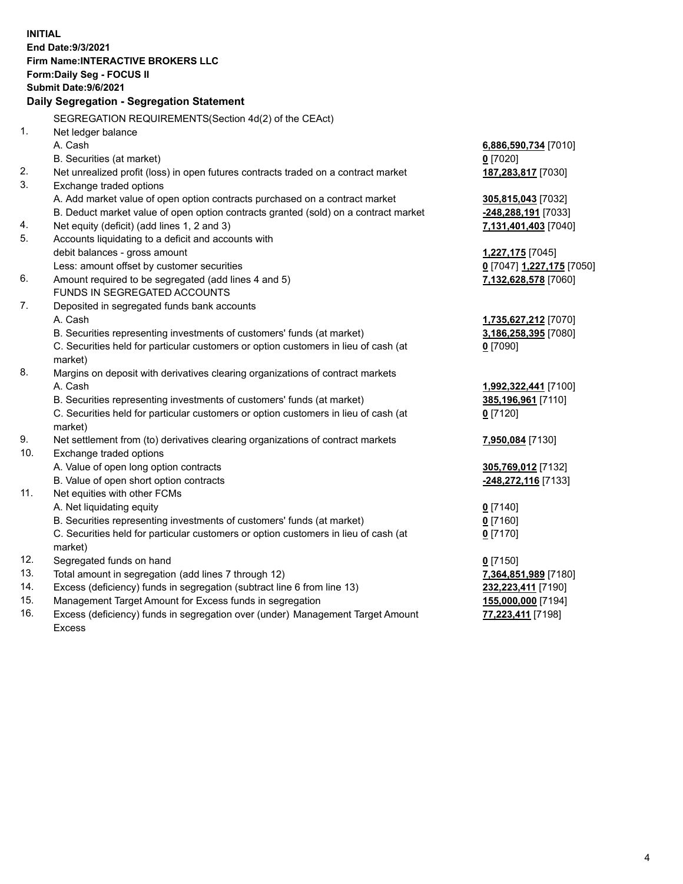**INITIAL End Date:9/3/2021 Firm Name:INTERACTIVE BROKERS LLC Form:Daily Seg - FOCUS II Submit Date:9/6/2021 Daily Segregation - Segregation Statement** SEGREGATION REQUIREMENTS(Section 4d(2) of the CEAct) 1. Net ledger balance A. Cash **6,886,590,734** [7010] B. Securities (at market) **0** [7020] 2. Net unrealized profit (loss) in open futures contracts traded on a contract market **187,283,817** [7030] 3. Exchange traded options A. Add market value of open option contracts purchased on a contract market **305,815,043** [7032] B. Deduct market value of open option contracts granted (sold) on a contract market **-248,288,191** [7033] 4. Net equity (deficit) (add lines 1, 2 and 3) **7,131,401,403** [7040] 5. Accounts liquidating to a deficit and accounts with debit balances - gross amount **1,227,175** [7045] Less: amount offset by customer securities **0** [7047] **1,227,175** [7050] 6. Amount required to be segregated (add lines 4 and 5) **7,132,628,578** [7060] FUNDS IN SEGREGATED ACCOUNTS 7. Deposited in segregated funds bank accounts A. Cash **1,735,627,212** [7070] B. Securities representing investments of customers' funds (at market) **3,186,258,395** [7080] C. Securities held for particular customers or option customers in lieu of cash (at market) **0** [7090] 8. Margins on deposit with derivatives clearing organizations of contract markets A. Cash **1,992,322,441** [7100] B. Securities representing investments of customers' funds (at market) **385,196,961** [7110] C. Securities held for particular customers or option customers in lieu of cash (at market) **0** [7120] 9. Net settlement from (to) derivatives clearing organizations of contract markets **7,950,084** [7130] 10. Exchange traded options A. Value of open long option contracts **305,769,012** [7132] B. Value of open short option contracts **-248,272,116** [7133] 11. Net equities with other FCMs A. Net liquidating equity **0** [7140] B. Securities representing investments of customers' funds (at market) **0** [7160] C. Securities held for particular customers or option customers in lieu of cash (at market) **0** [7170] 12. Segregated funds on hand **0** [7150] 13. Total amount in segregation (add lines 7 through 12) **7,364,851,989** [7180] 14. Excess (deficiency) funds in segregation (subtract line 6 from line 13) **232,223,411** [7190] 15. Management Target Amount for Excess funds in segregation **155,000,000** [7194] **77,223,411** [7198]

16. Excess (deficiency) funds in segregation over (under) Management Target Amount Excess